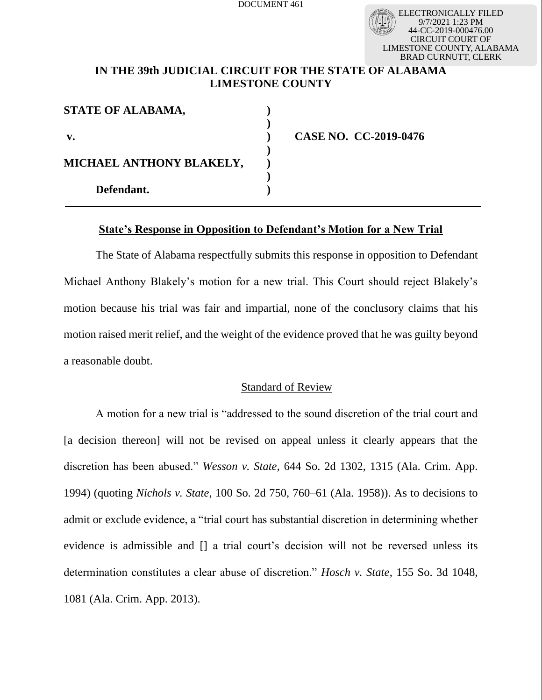ELECTRONICALLY FILED 9/7/2021 1:23 PM 44-CC-2019-000476.00 UIT COURT OF LIMESTONE COUNTY, ALABAMA BRAD CURNUTT, CLERK

# **IN THE 39th JUDICIAL CIRCUIT FOR THE STATE OF ALABAMA LIMESTONE COUNTY**

| STATE OF ALABAMA,        |  |
|--------------------------|--|
| $\mathbf{v}$ .           |  |
| MICHAEL ANTHONY BLAKELY, |  |
| Defendant.               |  |

**v. ) CASE NO. CC-2019-0476**

# **State's Response in Opposition to Defendant's Motion for a New Trial**

The State of Alabama respectfully submits this response in opposition to Defendant Michael Anthony Blakely's motion for a new trial. This Court should reject Blakely's motion because his trial was fair and impartial, none of the conclusory claims that his motion raised merit relief, and the weight of the evidence proved that he was guilty beyond a reasonable doubt.

### Standard of Review

A motion for a new trial is "addressed to the sound discretion of the trial court and [a decision thereon] will not be revised on appeal unless it clearly appears that the discretion has been abused." *Wesson v. State*, 644 So. 2d 1302, 1315 (Ala. Crim. App. 1994) (quoting *Nichols v. State*, 100 So. 2d 750, 760–61 (Ala. 1958)). As to decisions to admit or exclude evidence, a "trial court has substantial discretion in determining whether evidence is admissible and [] a trial court's decision will not be reversed unless its determination constitutes a clear abuse of discretion." *Hosch v. State*, 155 So. 3d 1048, 1081 (Ala. Crim. App. 2013).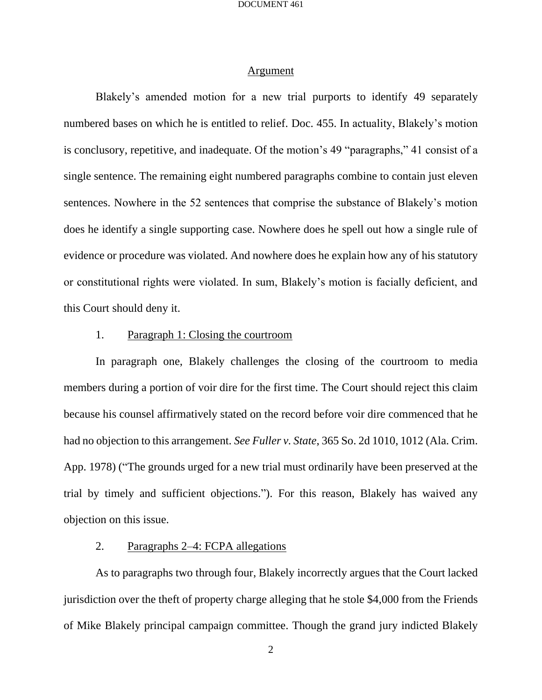### Argument

Blakely's amended motion for a new trial purports to identify 49 separately numbered bases on which he is entitled to relief. Doc. 455. In actuality, Blakely's motion is conclusory, repetitive, and inadequate. Of the motion's 49 "paragraphs," 41 consist of a single sentence. The remaining eight numbered paragraphs combine to contain just eleven sentences. Nowhere in the 52 sentences that comprise the substance of Blakely's motion does he identify a single supporting case. Nowhere does he spell out how a single rule of evidence or procedure was violated. And nowhere does he explain how any of his statutory or constitutional rights were violated. In sum, Blakely's motion is facially deficient, and this Court should deny it.

## 1. Paragraph 1: Closing the courtroom

In paragraph one, Blakely challenges the closing of the courtroom to media members during a portion of voir dire for the first time. The Court should reject this claim because his counsel affirmatively stated on the record before voir dire commenced that he had no objection to this arrangement. *See Fuller v. State*, 365 So. 2d 1010, 1012 (Ala. Crim. App. 1978) ("The grounds urged for a new trial must ordinarily have been preserved at the trial by timely and sufficient objections."). For this reason, Blakely has waived any objection on this issue.

## 2. Paragraphs 2–4: FCPA allegations

As to paragraphs two through four, Blakely incorrectly argues that the Court lacked jurisdiction over the theft of property charge alleging that he stole \$4,000 from the Friends of Mike Blakely principal campaign committee. Though the grand jury indicted Blakely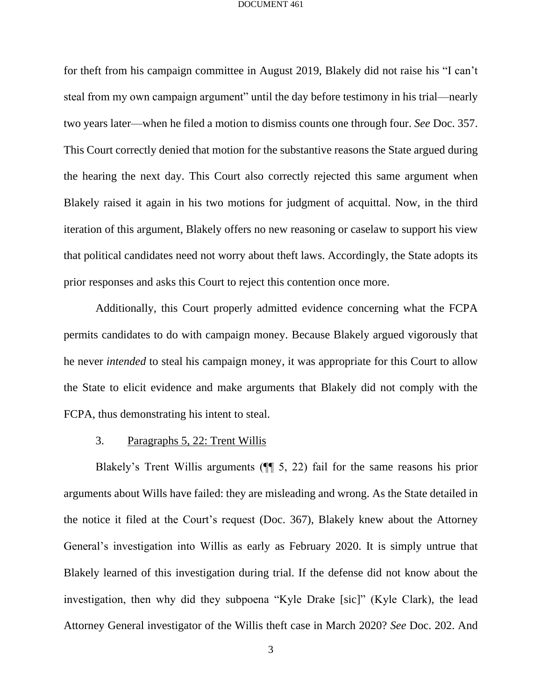for theft from his campaign committee in August 2019, Blakely did not raise his "I can't steal from my own campaign argument" until the day before testimony in his trial—nearly two years later—when he filed a motion to dismiss counts one through four. *See* Doc. 357. This Court correctly denied that motion for the substantive reasons the State argued during the hearing the next day. This Court also correctly rejected this same argument when Blakely raised it again in his two motions for judgment of acquittal. Now, in the third iteration of this argument, Blakely offers no new reasoning or caselaw to support his view that political candidates need not worry about theft laws. Accordingly, the State adopts its prior responses and asks this Court to reject this contention once more.

Additionally, this Court properly admitted evidence concerning what the FCPA permits candidates to do with campaign money. Because Blakely argued vigorously that he never *intended* to steal his campaign money, it was appropriate for this Court to allow the State to elicit evidence and make arguments that Blakely did not comply with the FCPA, thus demonstrating his intent to steal.

### 3. Paragraphs 5, 22: Trent Willis

Blakely's Trent Willis arguments (¶¶ 5, 22) fail for the same reasons his prior arguments about Wills have failed: they are misleading and wrong. As the State detailed in the notice it filed at the Court's request (Doc. 367), Blakely knew about the Attorney General's investigation into Willis as early as February 2020. It is simply untrue that Blakely learned of this investigation during trial. If the defense did not know about the investigation, then why did they subpoena "Kyle Drake [sic]" (Kyle Clark), the lead Attorney General investigator of the Willis theft case in March 2020? *See* Doc. 202. And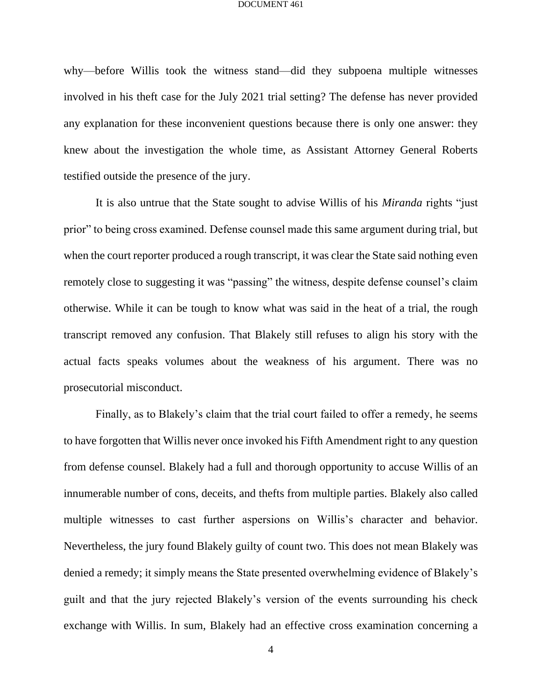why—before Willis took the witness stand—did they subpoena multiple witnesses involved in his theft case for the July 2021 trial setting? The defense has never provided any explanation for these inconvenient questions because there is only one answer: they knew about the investigation the whole time, as Assistant Attorney General Roberts testified outside the presence of the jury.

It is also untrue that the State sought to advise Willis of his *Miranda* rights "just prior" to being cross examined. Defense counsel made this same argument during trial, but when the court reporter produced a rough transcript, it was clear the State said nothing even remotely close to suggesting it was "passing" the witness, despite defense counsel's claim otherwise. While it can be tough to know what was said in the heat of a trial, the rough transcript removed any confusion. That Blakely still refuses to align his story with the actual facts speaks volumes about the weakness of his argument. There was no prosecutorial misconduct.

Finally, as to Blakely's claim that the trial court failed to offer a remedy, he seems to have forgotten that Willis never once invoked his Fifth Amendment right to any question from defense counsel. Blakely had a full and thorough opportunity to accuse Willis of an innumerable number of cons, deceits, and thefts from multiple parties. Blakely also called multiple witnesses to cast further aspersions on Willis's character and behavior. Nevertheless, the jury found Blakely guilty of count two. This does not mean Blakely was denied a remedy; it simply means the State presented overwhelming evidence of Blakely's guilt and that the jury rejected Blakely's version of the events surrounding his check exchange with Willis. In sum, Blakely had an effective cross examination concerning a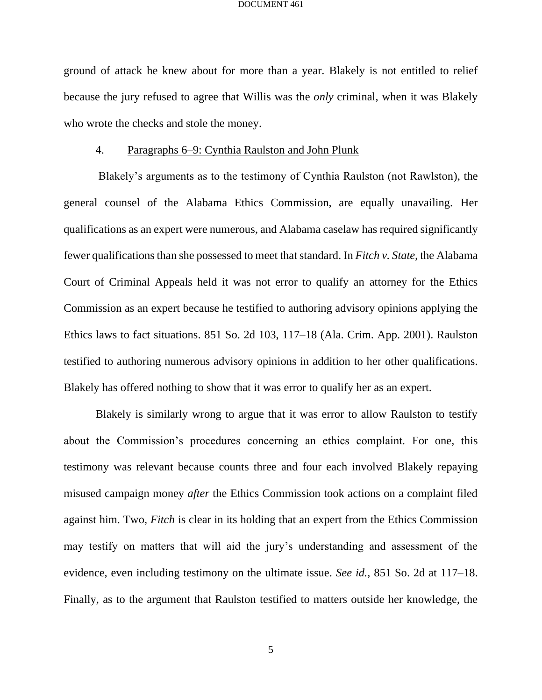ground of attack he knew about for more than a year. Blakely is not entitled to relief because the jury refused to agree that Willis was the *only* criminal, when it was Blakely who wrote the checks and stole the money.

#### 4. Paragraphs 6–9: Cynthia Raulston and John Plunk

Blakely's arguments as to the testimony of Cynthia Raulston (not Rawlston), the general counsel of the Alabama Ethics Commission, are equally unavailing. Her qualifications as an expert were numerous, and Alabama caselaw has required significantly fewer qualifications than she possessed to meet that standard. In *Fitch v. State*, the Alabama Court of Criminal Appeals held it was not error to qualify an attorney for the Ethics Commission as an expert because he testified to authoring advisory opinions applying the Ethics laws to fact situations. 851 So. 2d 103, 117–18 (Ala. Crim. App. 2001). Raulston testified to authoring numerous advisory opinions in addition to her other qualifications. Blakely has offered nothing to show that it was error to qualify her as an expert.

Blakely is similarly wrong to argue that it was error to allow Raulston to testify about the Commission's procedures concerning an ethics complaint. For one, this testimony was relevant because counts three and four each involved Blakely repaying misused campaign money *after* the Ethics Commission took actions on a complaint filed against him. Two, *Fitch* is clear in its holding that an expert from the Ethics Commission may testify on matters that will aid the jury's understanding and assessment of the evidence, even including testimony on the ultimate issue. *See id.*, 851 So. 2d at 117–18. Finally, as to the argument that Raulston testified to matters outside her knowledge, the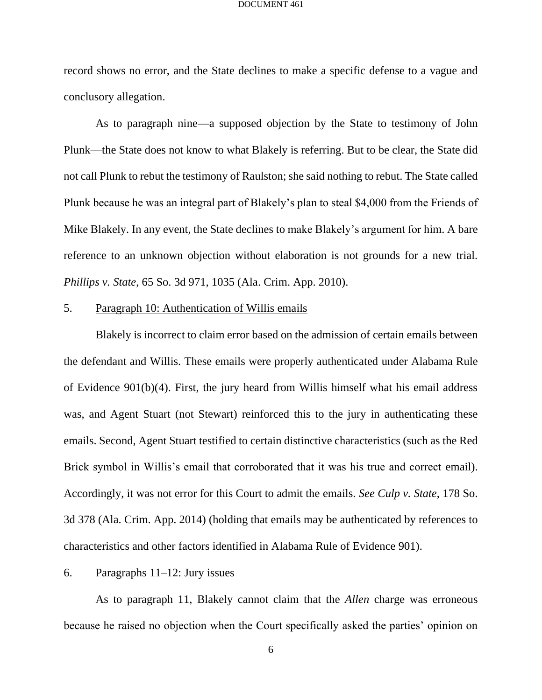record shows no error, and the State declines to make a specific defense to a vague and conclusory allegation.

As to paragraph nine—a supposed objection by the State to testimony of John Plunk—the State does not know to what Blakely is referring. But to be clear, the State did not call Plunk to rebut the testimony of Raulston; she said nothing to rebut. The State called Plunk because he was an integral part of Blakely's plan to steal \$4,000 from the Friends of Mike Blakely. In any event, the State declines to make Blakely's argument for him. A bare reference to an unknown objection without elaboration is not grounds for a new trial. *Phillips v. State*, 65 So. 3d 971, 1035 (Ala. Crim. App. 2010).

## 5. Paragraph 10: Authentication of Willis emails

Blakely is incorrect to claim error based on the admission of certain emails between the defendant and Willis. These emails were properly authenticated under Alabama Rule of Evidence 901(b)(4). First, the jury heard from Willis himself what his email address was, and Agent Stuart (not Stewart) reinforced this to the jury in authenticating these emails. Second, Agent Stuart testified to certain distinctive characteristics (such as the Red Brick symbol in Willis's email that corroborated that it was his true and correct email). Accordingly, it was not error for this Court to admit the emails. *See Culp v. State*, 178 So. 3d 378 (Ala. Crim. App. 2014) (holding that emails may be authenticated by references to characteristics and other factors identified in Alabama Rule of Evidence 901).

### 6. Paragraphs  $11-12$ : Jury issues

As to paragraph 11, Blakely cannot claim that the *Allen* charge was erroneous because he raised no objection when the Court specifically asked the parties' opinion on

6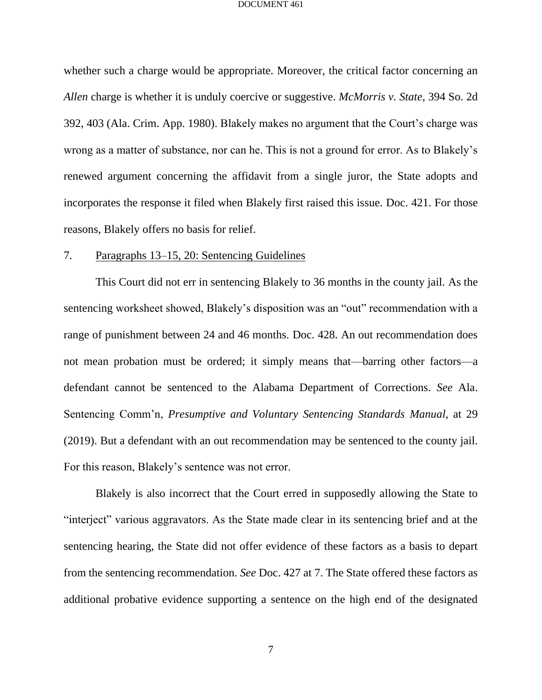whether such a charge would be appropriate. Moreover, the critical factor concerning an *Allen* charge is whether it is unduly coercive or suggestive. *McMorris v. State*, 394 So. 2d 392, 403 (Ala. Crim. App. 1980). Blakely makes no argument that the Court's charge was wrong as a matter of substance, nor can he. This is not a ground for error. As to Blakely's renewed argument concerning the affidavit from a single juror, the State adopts and incorporates the response it filed when Blakely first raised this issue. Doc. 421. For those reasons, Blakely offers no basis for relief.

#### 7. Paragraphs 13–15, 20: Sentencing Guidelines

This Court did not err in sentencing Blakely to 36 months in the county jail. As the sentencing worksheet showed, Blakely's disposition was an "out" recommendation with a range of punishment between 24 and 46 months. Doc. 428. An out recommendation does not mean probation must be ordered; it simply means that—barring other factors—a defendant cannot be sentenced to the Alabama Department of Corrections. *See* Ala. Sentencing Comm'n, *Presumptive and Voluntary Sentencing Standards Manual*, at 29 (2019). But a defendant with an out recommendation may be sentenced to the county jail. For this reason, Blakely's sentence was not error.

Blakely is also incorrect that the Court erred in supposedly allowing the State to "interject" various aggravators. As the State made clear in its sentencing brief and at the sentencing hearing, the State did not offer evidence of these factors as a basis to depart from the sentencing recommendation. *See* Doc. 427 at 7. The State offered these factors as additional probative evidence supporting a sentence on the high end of the designated

7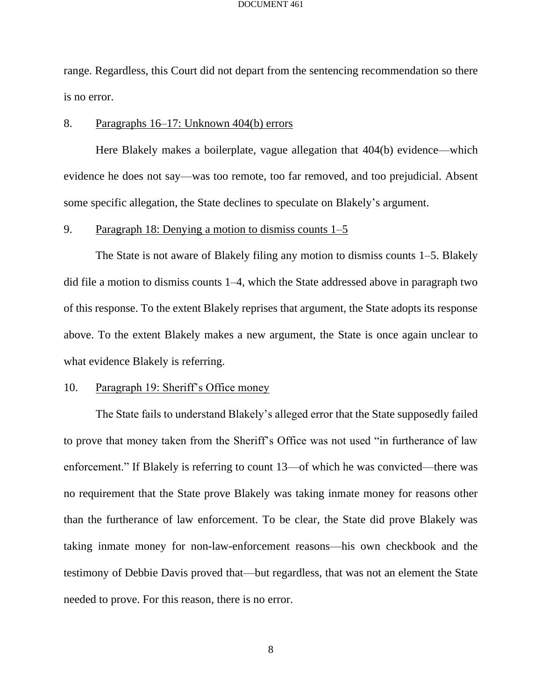range. Regardless, this Court did not depart from the sentencing recommendation so there is no error.

### 8. Paragraphs 16–17: Unknown 404(b) errors

Here Blakely makes a boilerplate, vague allegation that 404(b) evidence—which evidence he does not say—was too remote, too far removed, and too prejudicial. Absent some specific allegation, the State declines to speculate on Blakely's argument.

## 9. Paragraph 18: Denying a motion to dismiss counts 1–5

The State is not aware of Blakely filing any motion to dismiss counts 1–5. Blakely did file a motion to dismiss counts 1–4, which the State addressed above in paragraph two of this response. To the extent Blakely reprises that argument, the State adopts its response above. To the extent Blakely makes a new argument, the State is once again unclear to what evidence Blakely is referring.

#### 10. Paragraph 19: Sheriff's Office money

The State fails to understand Blakely's alleged error that the State supposedly failed to prove that money taken from the Sheriff's Office was not used "in furtherance of law enforcement." If Blakely is referring to count 13—of which he was convicted—there was no requirement that the State prove Blakely was taking inmate money for reasons other than the furtherance of law enforcement. To be clear, the State did prove Blakely was taking inmate money for non-law-enforcement reasons—his own checkbook and the testimony of Debbie Davis proved that—but regardless, that was not an element the State needed to prove. For this reason, there is no error.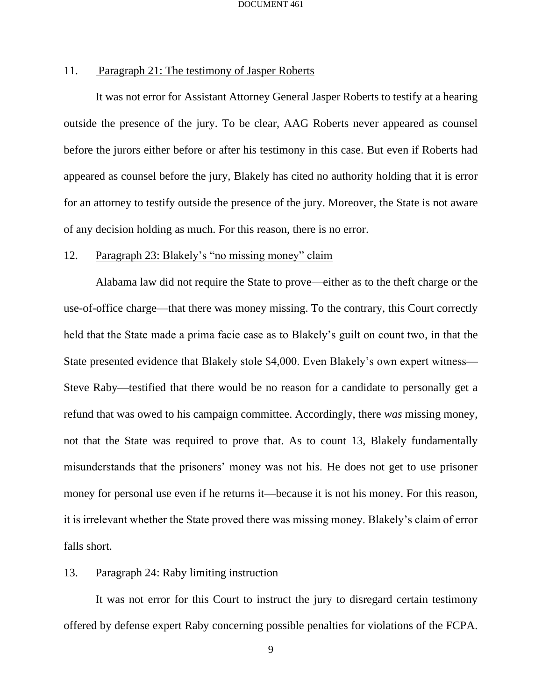## 11. Paragraph 21: The testimony of Jasper Roberts

It was not error for Assistant Attorney General Jasper Roberts to testify at a hearing outside the presence of the jury. To be clear, AAG Roberts never appeared as counsel before the jurors either before or after his testimony in this case. But even if Roberts had appeared as counsel before the jury, Blakely has cited no authority holding that it is error for an attorney to testify outside the presence of the jury. Moreover, the State is not aware of any decision holding as much. For this reason, there is no error.

### 12. Paragraph 23: Blakely's "no missing money" claim

Alabama law did not require the State to prove—either as to the theft charge or the use-of-office charge—that there was money missing. To the contrary, this Court correctly held that the State made a prima facie case as to Blakely's guilt on count two, in that the State presented evidence that Blakely stole \$4,000. Even Blakely's own expert witness— Steve Raby—testified that there would be no reason for a candidate to personally get a refund that was owed to his campaign committee. Accordingly, there *was* missing money, not that the State was required to prove that. As to count 13, Blakely fundamentally misunderstands that the prisoners' money was not his. He does not get to use prisoner money for personal use even if he returns it—because it is not his money. For this reason, it is irrelevant whether the State proved there was missing money. Blakely's claim of error falls short.

### 13. Paragraph 24: Raby limiting instruction

It was not error for this Court to instruct the jury to disregard certain testimony offered by defense expert Raby concerning possible penalties for violations of the FCPA.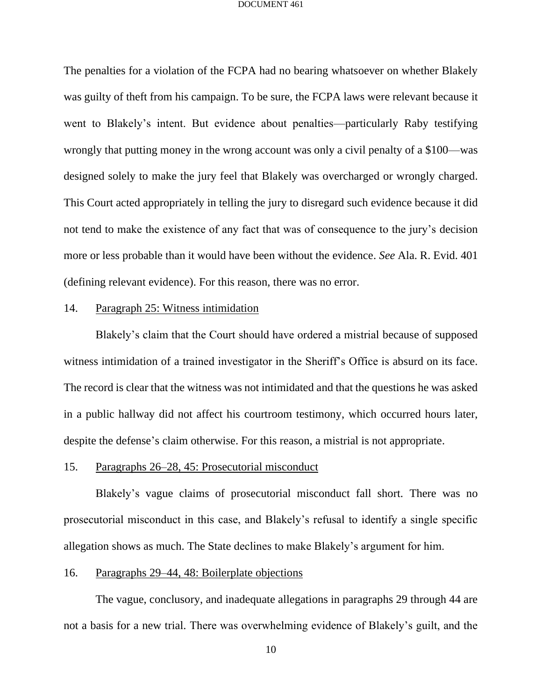The penalties for a violation of the FCPA had no bearing whatsoever on whether Blakely was guilty of theft from his campaign. To be sure, the FCPA laws were relevant because it went to Blakely's intent. But evidence about penalties—particularly Raby testifying wrongly that putting money in the wrong account was only a civil penalty of a \$100—was designed solely to make the jury feel that Blakely was overcharged or wrongly charged. This Court acted appropriately in telling the jury to disregard such evidence because it did not tend to make the existence of any fact that was of consequence to the jury's decision more or less probable than it would have been without the evidence. *See* Ala. R. Evid. 401 (defining relevant evidence). For this reason, there was no error.

## 14. Paragraph 25: Witness intimidation

Blakely's claim that the Court should have ordered a mistrial because of supposed witness intimidation of a trained investigator in the Sheriff's Office is absurd on its face. The record is clear that the witness was not intimidated and that the questions he was asked in a public hallway did not affect his courtroom testimony, which occurred hours later, despite the defense's claim otherwise. For this reason, a mistrial is not appropriate.

### 15. Paragraphs 26–28, 45: Prosecutorial misconduct

Blakely's vague claims of prosecutorial misconduct fall short. There was no prosecutorial misconduct in this case, and Blakely's refusal to identify a single specific allegation shows as much. The State declines to make Blakely's argument for him.

### 16. Paragraphs 29–44, 48: Boilerplate objections

The vague, conclusory, and inadequate allegations in paragraphs 29 through 44 are not a basis for a new trial. There was overwhelming evidence of Blakely's guilt, and the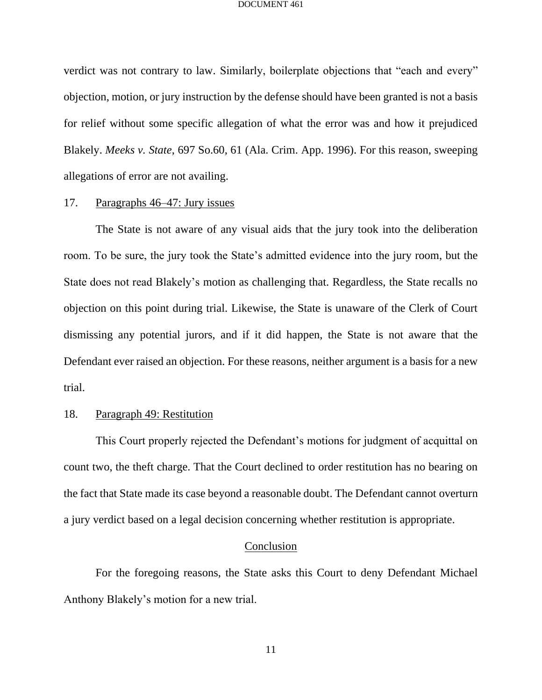verdict was not contrary to law. Similarly, boilerplate objections that "each and every" objection, motion, or jury instruction by the defense should have been granted is not a basis for relief without some specific allegation of what the error was and how it prejudiced Blakely. *Meeks v. State*, 697 So.60, 61 (Ala. Crim. App. 1996). For this reason, sweeping allegations of error are not availing.

# 17. Paragraphs 46–47: Jury issues

The State is not aware of any visual aids that the jury took into the deliberation room. To be sure, the jury took the State's admitted evidence into the jury room, but the State does not read Blakely's motion as challenging that. Regardless, the State recalls no objection on this point during trial. Likewise, the State is unaware of the Clerk of Court dismissing any potential jurors, and if it did happen, the State is not aware that the Defendant ever raised an objection. For these reasons, neither argument is a basis for a new trial.

## 18. Paragraph 49: Restitution

This Court properly rejected the Defendant's motions for judgment of acquittal on count two, the theft charge. That the Court declined to order restitution has no bearing on the fact that State made its case beyond a reasonable doubt. The Defendant cannot overturn a jury verdict based on a legal decision concerning whether restitution is appropriate.

#### Conclusion

For the foregoing reasons, the State asks this Court to deny Defendant Michael Anthony Blakely's motion for a new trial.

11